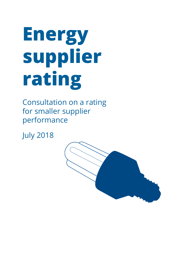# **Energy supplier rating**

Consultation on a rating for smaller supplier performance

July 2018

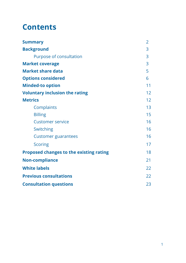### **Contents**

| <b>Summary</b>                                 | $\overline{2}$ |
|------------------------------------------------|----------------|
| <b>Background</b>                              | 3              |
| Purpose of consultation                        | 3              |
| <b>Market coverage</b>                         | 3              |
| <b>Market share data</b>                       | 5              |
| <b>Options considered</b>                      | 6              |
| <b>Minded-to option</b>                        | 11             |
| <b>Voluntary inclusion the rating</b>          | 12             |
| <b>Metrics</b>                                 | 12             |
| Complaints                                     | 13             |
| <b>Billing</b>                                 | 15             |
| <b>Customer service</b>                        | 16             |
| Switching                                      | 16             |
| <b>Customer guarantees</b>                     | 16             |
| <b>Scoring</b>                                 | 17             |
| <b>Proposed changes to the existing rating</b> | 18             |
| <b>Non-compliance</b>                          | 21             |
| <b>White labels</b>                            | 22             |
| <b>Previous consultations</b>                  | 22             |
| <b>Consultation questions</b>                  | 23             |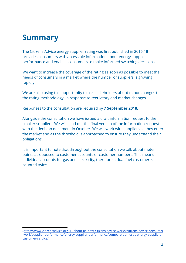### **Summary**

The Citizens Advice energy supplier rating was first published in 2016.<sup>1</sup> It provides consumers with accessible information about energy supplier performance and enables consumers to make informed switching decisions.

We want to increase the coverage of the rating as soon as possible to meet the needs of consumers in a market where the number of suppliers is growing rapidly.

We are also using this opportunity to ask stakeholders about minor changes to the rating methodology, in response to regulatory and market changes.

Responses to the consultation are required by **7 September 2018**.

Alongside the consultation we have issued a draft information request to the smaller suppliers. We will send out the final version of the information request with the decision document in October. We will work with suppliers as they enter the market and as the threshold is approached to ensure they understand their obligations.

It is important to note that throughout the consultation we talk about meter points as opposed to customer accounts or customer numbers. This means individual accounts for gas and electricity, therefore a dual fuel customer is counted twice.

<sup>1</sup>[https://www.citizensadvice.org.uk/about-us/how-citizens-advice-works/citizens-advice-consumer](https://www.citizensadvice.org.uk/about-us/how-citizens-advice-works/citizens-advice-consumer-work/supplier-performance/energy-supplier-performance/compare-domestic-energy-suppliers-customer-service/) [-work/supplier-performance/energy-supplier-performance/compare-domestic-energy-suppliers](https://www.citizensadvice.org.uk/about-us/how-citizens-advice-works/citizens-advice-consumer-work/supplier-performance/energy-supplier-performance/compare-domestic-energy-suppliers-customer-service/)[customer-service/](https://www.citizensadvice.org.uk/about-us/how-citizens-advice-works/citizens-advice-consumer-work/supplier-performance/energy-supplier-performance/compare-domestic-energy-suppliers-customer-service/)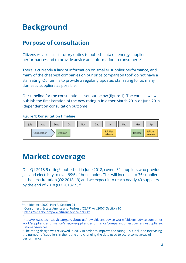### **Background**

### **Purpose of consultation**

Citizens Advice has statutory duties to publish data on energy supplier performance<sup>2</sup> and to provide advice and information to consumers.<sup>3</sup>

There is currently a lack of information on smaller supplier performance, and many of the cheapest companies on our price comparison tool<sup>4</sup> do not have a star rating. Our aim is to provide a regularly updated star rating for as many domestic suppliers as possible.

Our timeline for the consultation is set out below (figure 1). The earliest we will publish the first iteration of the new rating is in either March 2019 or June 2019 (dependent on consultation outcome).

#### **Figure 1: Consultation timeline**



### **Market coverage**

Our Q1 2018-9 rating<sup>5</sup>, published in June 2018, covers 32 suppliers who provide gas and electricity to over 99% of households. This will increase to 35 suppliers in the next iteration (Q2 2018-19) and we expect it to reach nearly 40 suppliers by the end of 2018 (Q3 2018-19).<sup>6</sup>

5

<sup>2</sup> Utilities Act 2000, Part 3, Section 21

<sup>3</sup> Consumers, Estate Agents and Redress (CEAR) Act 2007, Section 10

<sup>4</sup> <https://energycompare.citizensadvice.org.uk/>

[https://www.citizensadvice.org.uk/about-us/how-citizens-advice-works/citizens-advice-consumer](https://www.citizensadvice.org.uk/about-us/how-citizens-advice-works/citizens-advice-consumer-work/supplier-performance/energy-supplier-performance/compare-domestic-energy-suppliers-customer-service/)[work/supplier-performance/energy-supplier-performance/compare-domestic-energy-suppliers-c](https://www.citizensadvice.org.uk/about-us/how-citizens-advice-works/citizens-advice-consumer-work/supplier-performance/energy-supplier-performance/compare-domestic-energy-suppliers-customer-service/) [ustomer-service/](https://www.citizensadvice.org.uk/about-us/how-citizens-advice-works/citizens-advice-consumer-work/supplier-performance/energy-supplier-performance/compare-domestic-energy-suppliers-customer-service/)

<sup>&</sup>lt;sup>6</sup> The rating design was reviewed in 2017 in order to improve the rating. This included increasing the number of suppliers in the rating and changing the data used to score some areas of performance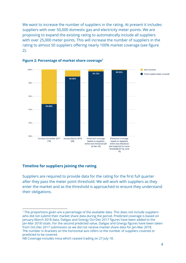We want to increase the number of suppliers in the rating. At present it includes suppliers with over 50,000 domestic gas and electricity meter points. We are proposing to expand the existing rating to automatically include all suppliers with over 25,000 meter points. This will increase the number of suppliers in the rating to almost 50 suppliers offering nearly 100% market coverage (see figure 2).



#### **Figure 2: Percentage of market share coverage 7**

#### **Timeline for suppliers joining the rating**

Suppliers are required to provide data for the rating for the first full quarter after they pass the meter point threshold. We will work with suppliers as they enter the market and as the threshold is approached to ensure they understand their obligations.

 $<sup>7</sup>$  The proportions given are a percentage of the available data. This does not include suppliers</sup> who did not submit their market share data during the period. Predicted coverage is based on January-March 2018 data. Daligas and Gnergy Oct-Dec 2017 figures have been added to the Jan-Mar 2018 totals. For the second predicted value, Daligas and Gnergy figures have been taken from Oct-Dec 2017 submission as we did not receive market share data for Jan-Mar 2018. The number in brackets on the horizontal axis refers to the number of suppliers covered or predicted to be covered.

NB Coverage includes Iresa which ceased trading on 27 July 18.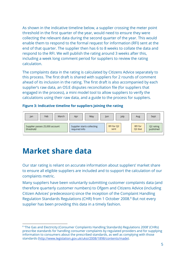As shown in the indicative timeline below, a supplier crossing the meter point threshold in the first quarter of the year, would need to ensure they were collecting the relevant data during the second quarter of the year. This would enable them to respond to the formal request for information (RFI) sent at the end of that quarter. The supplier then has 6 to 8 weeks to collate the data and respond to the RFI. We will publish the rating around 3 weeks after this, including a week long comment period for suppliers to review the rating calculation.

The complaints data in the rating is calculated by Citizens Advice separately to this process. The first draft is shared with suppliers for 2 rounds of comment ahead of its inclusion in the rating. The first draft is also accompanied by each supplier's raw data, an OS:E disputes reconciliation file (for suppliers that engaged in the process), a mini model tool to allow suppliers to verify the calculations using their raw data, and a guide to the process for suppliers.

**Figure 3: Indicative timeline for suppliers joining the rating**



### **Market share data**

Our star rating is reliant on accurate information about suppliers' market share to ensure all eligible suppliers are included and to support the calculation of our complaints metric.

Many suppliers have been voluntarily submitting customer complaints data (and therefore quarterly customer numbers) to Ofgem and Citizens Advice (including Citizen Advices' predecessors) since the inception of the Complaint Handling Regulation Standards Regulations (CHR) from 1 October 2008.<sup>8</sup> But not every supplier has been providing this data in a timely fashion.

<sup>&</sup>lt;sup>8</sup> The Gas and Electricity (Consumer Complaints Handling Standards) Regulations 2008' (CHRs) prescribe standards for handling consumer complaints by regulated providers and for supplying information to consumers about the prescribed standards, as well as complying with those standards (<http://www.legislation.gov.uk/uksi/2008/1898/contents/made>).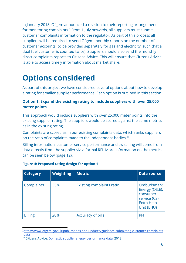In January 2018, Ofgem announced a revision to their reporting arrangements for monitoring complaints.<sup>9</sup> From 1 July onwards, all suppliers must submit customer complaints information to the regulator. As part of this process all suppliers will be required to send Ofgem monthly reports on the number of customer accounts (to be provided separately for gas and electricity, such that a dual fuel customer is counted twice). Suppliers should also send the monthly direct complaints reports to Citizens Advice. This will ensure that Citizens Advice is able to access timely information about market share.

# **Options considered**

As part of this project we have considered several options about how to develop a rating for smaller supplier performance. Each option is outlined in this section.

#### **Option 1: Expand the existing rating to include suppliers with over 25,000 meter points**

This approach would include suppliers with over 25,000 meter points into the existing supplier rating. The suppliers would be scored against the same metrics as in the existing rating.

Complaints are scored as in our existing complaints data, which ranks suppliers on the ratio of complaints made to the independent bodies.<sup>10</sup>

Billing information, customer service performance and switching will come from data directly from the supplier via a formal RFI. More information on the metrics can be seen below (page 12).

| <b>Category</b> | Weighting | <b>Metric</b>                    | <b>Data source</b>                                                                           |
|-----------------|-----------|----------------------------------|----------------------------------------------------------------------------------------------|
| Complaints      | 35%       | <b>Existing complaints ratio</b> | Ombudsman:<br>Energy (OS:E),<br>consumer<br>service (CS),<br><b>Extra Help</b><br>Unit (EHU) |
| <b>Billing</b>  | 20%       | Accuracy of bills                | <b>RFI</b>                                                                                   |

#### **Figure 4: Proposed rating design for option 1**

<sup>9</sup>[https://www.ofgem.gov.uk/publications-and-updates/guidance-submitting-customer-complaints](https://www.ofgem.gov.uk/publications-and-updates/guidance-submitting-customer-complaints-data) [-data](https://www.ofgem.gov.uk/publications-and-updates/guidance-submitting-customer-complaints-data)

<sup>&</sup>lt;sup>10</sup> Citizens Advice, Domestic supplier energy [performance](https://www.citizensadvice.org.uk/about-us/policy/policy-research-topics/energy-policy-research-and-consultation-responses/energy-policy-research/domestic-energy-supplier-performance-data/) data, 2018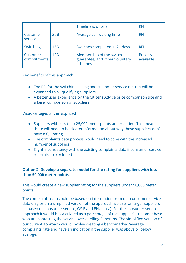|                         |     | Timeliness of bills                                                   | <b>RFI</b>            |
|-------------------------|-----|-----------------------------------------------------------------------|-----------------------|
| Customer<br>service     | 20% | Average call waiting time                                             | <b>RFI</b>            |
| Switching               | 15% | Switches completed in 21 days                                         | <b>RFI</b>            |
| Customer<br>commitments | 10% | Membership of the switch<br>guarantee, and other voluntary<br>schemes | Publicly<br>available |

Key benefits of this approach

- The RFI for the switching, billing and customer service metrics will be expanded to all qualifying suppliers.
- A better user experience on the Citizens Advice price comparison site and a fairer comparison of suppliers

Disadvantages of this approach

- Suppliers with less than 25,000 meter points are excluded. This means there will need to be clearer information about why these suppliers don't have a full rating.
- The complaints data process would need to cope with the increased number of suppliers
- Slight inconsistency with the existing complaints data if consumer service referrals are excluded

#### **Option 2: Develop a separate model for the rating for suppliers with less than 50,000 meter points.**

This would create a new supplier rating for the suppliers under 50,000 meter points.

The complaints data could be based on information from our consumer service data only or on a simplified version of the approach we use for larger suppliers (ie based on consumer service, OS:E and EHU data). For the consumer service approach it would be calculated as a percentage of the supplier's customer base who are contacting the service over a rolling 3 months. The simplified version of our current approach would involve creating a benchmarked 'average' complaints rate and have an indication if the supplier was above or below average.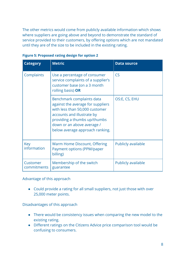The other metrics would come from publicly available information which shows where suppliers are going above and beyond to demonstrate the standard of service provided to their customers, by offering options which are not mandated until they are of the size to be included in the existing rating.

| <b>Category</b>           | <b>Metric</b>                                                                                                                                                                                                                   | <b>Data source</b>        |
|---------------------------|---------------------------------------------------------------------------------------------------------------------------------------------------------------------------------------------------------------------------------|---------------------------|
| Complaints                | Use a percentage of consumer<br>service complaints of a supplier's<br>customer base (on a 3 month<br>rolling basis) OR                                                                                                          | CS                        |
|                           | Benchmark complaints data<br>against the average for suppliers<br>with less than 50,000 customer<br>accounts and illustrate by<br>providing a thumbs up/thumbs<br>down or an above average /<br>below average approach ranking. | OS:E, CS, EHU             |
| <b>Key</b><br>information | Warm Home Discount, Offering<br>Payment options (PPM/paper<br>billing)                                                                                                                                                          | <b>Publicly available</b> |
| Customer<br>commitments   | Membership of the switch<br>guarantee                                                                                                                                                                                           | Publicly available        |

| <b>Figure 5: Proposed rating design for option 2</b> |  |  |
|------------------------------------------------------|--|--|
|------------------------------------------------------|--|--|

Advantage of this approach

● Could provide a rating for all small suppliers, not just those with over 25,000 meter points.

Disadvantages of this approach

- There would be consistency issues when comparing the new model to the existing rating.
- Different ratings on the Citizens Advice price comparison tool would be confusing to consumers.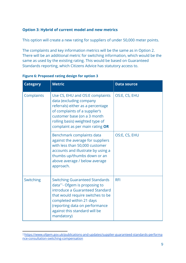#### **Option 3: Hybrid of current model and new metrics**

This option will create a new rating for suppliers of under 50,000 meter points.

The complaints and key information metrics will be the same as in Option 2. There will be an additional metric for switching information, which would be the same as used by the existing rating. This would be based on Guaranteed Standards reporting, which Citizens Advice has statutory access to.

| <b>Category</b> | <b>Metric</b>                                                                                                                                                                                                                                                            | <b>Data source</b> |
|-----------------|--------------------------------------------------------------------------------------------------------------------------------------------------------------------------------------------------------------------------------------------------------------------------|--------------------|
| Complaints      | Use CS, EHU and OS:E complaints<br>data (excluding company<br>referrals) either as a percentage<br>of complaints of a supplier's<br>customer base (on a 3 month<br>rolling basis) weighted type of<br>complaint as per main rating OR                                    | OS:E, CS, EHU      |
|                 | Benchmark complaints data<br>against the average for suppliers<br>with less than 50,000 customer<br>accounts and illustrate by using a<br>thumbs up/thumbs down or an<br>above average / below average<br>approach.                                                      | OS:E, CS, EHU      |
| Switching       | <b>Switching Guaranteed Standards</b><br>data <sup>11</sup> - Ofgem is proposing to<br>introduce a Guaranteed Standard<br>that would require switches to be<br>completed within 21 days<br>(reporting data on performance<br>against this standard will be<br>mandatory) | <b>RFI</b>         |

| <b>Figure 6: Proposed rating design for option 3</b> |  |
|------------------------------------------------------|--|
|------------------------------------------------------|--|

<sup>11</sup>[https://www.ofgem.gov.uk/publications-and-updates/supplier-guaranteed-standards-performa](https://www.ofgem.gov.uk/publications-and-updates/supplier-guaranteed-standards-performance-consultation-switching-compensation) [nce-consultation-switching-compensation](https://www.ofgem.gov.uk/publications-and-updates/supplier-guaranteed-standards-performance-consultation-switching-compensation)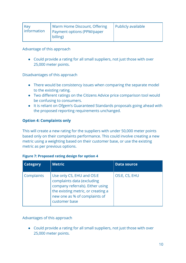| Key<br>information | Warm Home Discount, Offering<br>Payment options (PPM/paper<br>billing) | Publicly available |
|--------------------|------------------------------------------------------------------------|--------------------|
|                    |                                                                        |                    |

Advantage of this approach

● Could provide a rating for all small suppliers, not just those with over 25,000 meter points.

Disadvantages of this approach

- There would be consistency issues when comparing the separate model to the existing rating.
- Two different ratings on the Citizens Advice price comparison tool would be confusing to consumers.
- It is reliant on Ofgem's Guaranteed Standards proposals going ahead with the proposed reporting requirements unchanged.

#### **Option 4: Complaints only**

This will create a new rating for the suppliers with under 50,000 meter points based only on their complaints performance. This could involve creating a new metric using a weighting based on their customer base, or use the existing metric as per previous options.

#### **Figure 7: Proposed rating design for option 4**

| <b>Category</b> | <b>Metric</b>                                                                                                                                                                       | <b>Data source</b> |
|-----------------|-------------------------------------------------------------------------------------------------------------------------------------------------------------------------------------|--------------------|
| Complaints      | Use only CS, EHU and OS:E<br>complaints data (excluding<br>company referrals). Either using<br>the existing metric, or creating a<br>new one as % of complaints of<br>customer base | OS:E, CS, EHU      |

#### Advantages of this approach

● Could provide a rating for all small suppliers, not just those with over 25,000 meter points.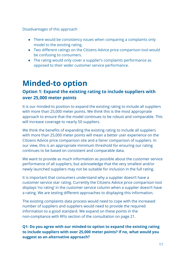Disadvantages of this approach

- There would be consistency issues when comparing a complaints only model to the existing rating.
- Two different ratings on the Citizens Advice price comparison tool would be confusing to consumers.
- The rating would only cover a supplier's complaints performance as opposed to their wider customer service performance.

### **Minded-to option**

#### **Option 1: Expand the existing rating to include suppliers with over 25,000 meter points**

It is our minded-to position to expand the existing rating to include all suppliers with more than 25,000 meter points. We think this is the most appropriate approach to ensure that the model continues to be robust and comparable. This will increase coverage to nearly 50 suppliers.

We think the benefits of expanding the existing rating to include all suppliers with more than 25,000 meter points will mean a better user experience on the Citizens Advice price comparison site and a fairer comparison of suppliers. In our view, this is an appropriate minimum threshold for ensuring our rating continues to be based on consistent and comparable data.

We want to provide as much information as possible about the customer service performance of all suppliers, but acknowledge that the very smallest and/or newly launched suppliers may not be suitable for inclusion in the full rating.

It is important that consumers understand why a supplier doesn't have a customer service star rating. Currently the Citizens Advice price comparison tool displays 'no rating' in the customer service column when a supplier doesn't have a rating. We are testing different approaches to displaying this information.

The existing complaints data process would need to cope with the increased number of suppliers and suppliers would need to provide the required information to a good standard. We expand on these points in the non-compliance with RFIs section of the consultation on page 21.

**Q1: Do you agree with our minded-to option to expand the existing rating to include suppliers with over 25,000 meter points? If no, what would you suggest as an alternative approach?**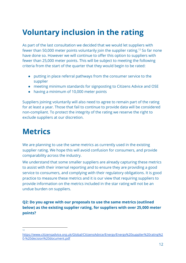## **Voluntary inclusion in the rating**

As part of the last consultation we decided that we would let suppliers with fewer than 50,000 meter points voluntarily join the supplier rating.<sup>12</sup> So far none have done so. However we will continue to offer this option to suppliers with fewer than 25,000 meter points. This will be subject to meeting the following criteria from the start of the quarter that they would begin to be rated:

- putting in place referral pathways from the consumer service to the supplier
- meeting minimum standards for signposting to Citizens Advice and OSE
- having a minimum of 10,000 meter points

Suppliers joining voluntarily will also need to agree to remain part of the rating for at least a year. Those that fail to continue to provide data will be considered non-compliant. To protect the integrity of the rating we reserve the right to exclude suppliers at our discretion.

### **Metrics**

We are planning to use the same metrics as currently used in the existing supplier rating. We hope this will avoid confusion for consumers, and provide comparability across the industry.

We understand that some smaller suppliers are already capturing these metrics to assist with their internal reporting and to ensure they are providing a good service to consumers, and complying with their regulatory obligations. It is good practice to measure these metrics and it is our view that requiring suppliers to provide information on the metrics included in the star rating will not be an undue burden on suppliers.

**Q2: Do you agree with our proposals to use the same metrics (outlined below) as the existing supplier rating, for suppliers with over 25,000 meter points?**

12

[https://www.citizensadvice.org.uk/Global/CitizensAdvice/Energy/Energy%20supplier%20rating%2](https://www.citizensadvice.org.uk/Global/CitizensAdvice/Energy/Energy%20supplier%20rating%20-%20decision%20document.pdf) [0-%20decision%20document.pdf](https://www.citizensadvice.org.uk/Global/CitizensAdvice/Energy/Energy%20supplier%20rating%20-%20decision%20document.pdf)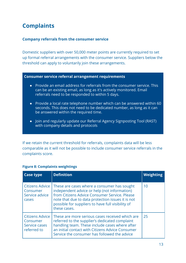### **Complaints**

#### **Company referrals from the consumer service**

Domestic suppliers with over 50,000 meter points are currently required to set up formal referral arrangements with the consumer service. Suppliers below the threshold can apply to voluntarily join these arrangements.

#### **Consumer service referral arrangement requirements**

- Provide an email address for referrals from the consumer service. This can be an existing email, as long as it's actively monitored. Email referrals need to be responded to within 5 days.
- Provide a local rate telephone number which can be answered within 60 seconds. This does not need to be dedicated number, as long as it can be answered within the required time.
- Join and regularly update our Referral Agency Signposting Tool (RAST) with company details and protocols

If we retain the current threshold for referrals, complaints data will be less comparable as it will not be possible to include consumer service referrals in the complaints score.

| <b>Case type</b>                                            | <b>Definition</b>                                                                                                                                                                                                                                                      | <b>Weighting</b> |
|-------------------------------------------------------------|------------------------------------------------------------------------------------------------------------------------------------------------------------------------------------------------------------------------------------------------------------------------|------------------|
| Citizens Advice<br>Consumer<br>Service advice<br>cases      | These are cases where a consumer has sought<br>independent advice or help (not information)<br>from Citizens Advice Consumer Service, Please<br>note that due to data protection issues it is not<br>possible for suppliers to have full visibility of<br>these cases. | 10               |
| Citizens Advice<br>Consumer<br>Service cases<br>referred to | These are more serious cases received which are<br>referred to the supplier's dedicated complaint<br>handling team. These include cases where after<br>an initial contact with Citizens Advice Consumer<br>Service the consumer has followed the advice                | 25               |

#### **Figure 8: Complaints weightings**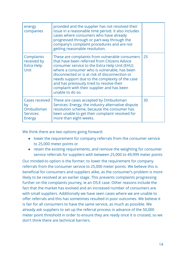| energy<br>companies                                             | provided and the supplier has not resolved their<br>issue in a reasonable time period. It also includes<br>cases where consumers who have already<br>progressed through or part-way through the<br>company's complaint procedures and are not<br>getting reasonable resolution.                                                                                                                                     |    |
|-----------------------------------------------------------------|---------------------------------------------------------------------------------------------------------------------------------------------------------------------------------------------------------------------------------------------------------------------------------------------------------------------------------------------------------------------------------------------------------------------|----|
| Complaints<br>received by<br><b>Extra Help</b><br>Unit          | These are complaints from vulnerable consumers<br>that have been referred from Citizens Advice<br>consumer service to the Extra Help Unit (EHU)<br>where a consumer who is vulnerable, has been<br>disconnected or is at risk of disconnection or<br>needs support due to the complexity of the case<br>and has previously tried to resolve their<br>complaint with their supplier and has been<br>unable to do so. | 25 |
| Cases received<br>by<br>Ombudsman<br>Services:<br><b>Energy</b> | These are cases accepted by Ombudsman<br>Services: Energy, the industry alternative dispute<br>resolution scheme, because the consumer has<br>been unable to get their complaint resolved for<br>more than eight weeks.                                                                                                                                                                                             | 30 |

We think there are two options going forward:

- lower the requirement for company referrals from the consumer service to 25,000 meter points or
- retain the existing requirements, and remove the weighting for consumer service referrals for suppliers with between 25,000 to 49,999 meter points

Our minded-to option is the former; to lower the requirement for company referrals from the consumer service to 25,000 meter points. We believe this is beneficial for consumers and suppliers alike, as the consumer's problem is more likely to be resolved at an earlier stage. This prevents complaints progressing further on the complaints journey, ie an OS:E case. Other reasons include the fact that the market has evolved and an increased number of consumers are with small suppliers. Additionally we have seen cases where we are unable to offer referrals and this has sometimes resulted in poor outcomes. We believe it is fair for all consumers to have the same service, as much as possible. We already ask suppliers to set up the referral process in advance of the 50,000 meter point threshold in order to ensure they are ready once it is crossed, so we don't think there are technical barriers.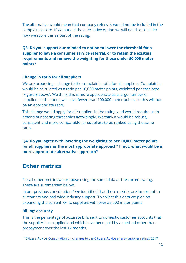The alternative would mean that company referrals would not be included in the complaints score. If we pursue the alternative option we will need to consider how we score this as part of the rating.

**Q3: Do you support our minded-to option to lower the threshold for a supplier to have a consumer service referral, or to retain the existing requirements and remove the weighting for those under 50,000 meter points?**

#### **Change in ratio for all suppliers**

We are proposing a change to the complaints ratio for all suppliers. Complaints would be calculated as a ratio per 10,000 meter points, weighted per case type (Figure 8 above). We think this is more appropriate as a large number of suppliers in the rating will have fewer than 100,000 meter points, so this will not be an appropriate ratio.

This change would apply for all suppliers in the rating, and would require us to amend our scoring thresholds accordingly. We think it would be robust, consistent and more comparable for suppliers to be ranked using the same ratio.

**Q4: Do you agree with lowering the weighting to per 10,000 meter points for all suppliers as the most appropriate approach? If not, what would be a more appropriate alternative approach?**

### **Other metrics**

For all other metrics we propose using the same data as the current rating. These are summarised below.

In our previous consultation<sup>13</sup> we identified that these metrics are important to customers and had wide industry support. To collect this data we plan on expanding the current RFI to suppliers with over 25,000 meter points.

#### **Billing: accuracy**

This is the percentage of accurate bills sent to domestic customer accounts that the supplier has supplied and which have been paid by a method other than prepayment over the last 12 months.

<sup>&</sup>lt;sup>13</sup> Citizens Advice '[Consultation](https://www.citizensadvice.org.uk/about-us/policy/policy-research-topics/energy-policy-research-and-consultation-responses/energy-policy-research/consultation-on-changes-to-the-citizens-advice-energy-supplier-rating/) on changes to the Citizens Advice energy supplier rating', 2017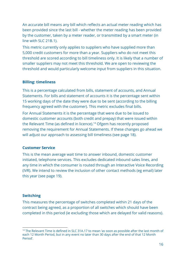An accurate bill means any bill which reflects an actual meter reading which has been provided since the last bill - whether the meter reading has been provided by the customer, taken by a meter reader, or transmitted by a smart meter (in line with SLC 21B.1).

This metric currently only applies to suppliers who have supplied more than 5,000 credit customers for more than a year. Suppliers who do not meet this threshold are scored according to bill timeliness only. It is likely that a number of smaller suppliers may not meet this threshold. We are open to reviewing the threshold and would particularly welcome input from suppliers in this situation.

#### **Billing: timeliness**

This is a percentage calculated from bills, statement of accounts, and Annual Statements. For bills and statement of accounts it is the percentage sent within 15 working days of the date they were due to be sent (according to the billing frequency agreed with the customer). This metric excludes final bills.

For Annual Statements it is the percentage that were due to be issued to domestic customer accounts (both credit and prepay) that were issued within the Relevant Time (as defined in licence).<sup>14</sup> Ofgem has recently proposed removing the requirement for Annual Statements. If these changes go ahead we will adjust our approach to assessing bill timeliness (see page 18).

#### **Customer Service**

This is the mean average wait time to answer inbound, domestic customer initiated, telephone services. This excludes dedicated inbound sales lines, and any time in which the consumer is routed through an Interactive Voice Recording (IVR). We intend to review the inclusion of other contact methods (eg email) later this year (see page 19).

#### **Switching**

This measures the percentage of switches completed within 21 days of the contract being agreed, as a proportion of all switches which should have been completed in this period (ie excluding those which are delayed for valid reasons).

<sup>&</sup>lt;sup>14</sup> The Relevant Time is defined in SLC 31A.17 to mean 'as soon as possible after the last month of each 12 Month Period, but in any event no later than 30 days after the end of that 12 Month Period'.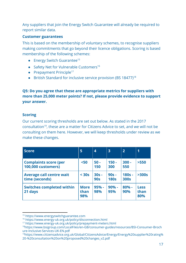Any suppliers that join the Energy Switch Guarantee will already be required to report similar data.

#### **Customer guarantees**

This is based on the membership of voluntary schemes, to recognise suppliers making commitments that go beyond their licence obligations. Scoring is based membership of the following schemes:

- Energy Switch Guarantee<sup>15</sup>
- Safety Net for Vulnerable Customers<sup>16</sup>
- $\bullet$  Prepayment Principle<sup>17</sup>
- British Standard for inclusive service provision (BS 18477)<sup>18</sup>

**Q5: Do you agree that these are appropriate metrics for suppliers with more than 25,000 meter points? If not, please provide evidence to support your answer.**

#### **Scoring**

Our current scoring thresholds are set out below. As stated in the 2017 consultation<sup>19</sup>, these are a matter for Citizens Advice to set, and we will not be consulting on them here. However, we will keep thresholds under review as we make these changes.

| <b>Score</b>                                              | 5                          | $\overline{\mathbf{4}}$ | $\overline{3}$         | $\overline{2}$          | 1                          |
|-----------------------------------------------------------|----------------------------|-------------------------|------------------------|-------------------------|----------------------------|
| <b>Complaints score (per</b><br><b>100,000 customers)</b> | $50$                       | $50 -$<br>150           | $150 -$<br>300         | $300 -$<br>550          | >550                       |
| <b>Average call centre wait</b><br>time (seconds)         | $30s$                      | $30s -$<br><b>90s</b>   | $90s -$<br><b>180s</b> | $180s -$<br><b>300s</b> | >300s                      |
| <b>Switches completed within</b><br>21 days               | <b>More</b><br>than<br>98% | 95% -<br>98%            | $90% -$<br>95%         | $80% -$<br>90%          | <b>Less</b><br>than<br>80% |

<sup>15</sup> [https://www.energyswitchguarantee.com](https://www.energyswitchguarantee.com/)

<sup>16</sup> <https://www.energy-uk.org.uk/policy/disconnection.html>

<sup>17</sup> <https://www.energy-uk.org.uk/policy/prepayment-meters.html>

<sup>18</sup>[https://www.bsigroup.com/LocalFiles/en-GB/consumer-guides/resources/BSI-Consumer-Broch](https://www.bsigroup.com/LocalFiles/en-GB/consumer-guides/resources/BSI-Consumer-Brochure-Inclusive-Services-UK-EN.pdf) [ure-Inclusive-Services-UK-EN.pdf](https://www.bsigroup.com/LocalFiles/en-GB/consumer-guides/resources/BSI-Consumer-Brochure-Inclusive-Services-UK-EN.pdf)

<sup>19</sup>[https://www.citizensadvice.org.uk/Global/CitizensAdvice/Energy/Energy%20supplier%20rating%](https://www.citizensadvice.org.uk/Global/CitizensAdvice/Energy/Energy%20supplier%20rating%20-%20consultation%20on%20proposed%20changes_v2.pdf) [20-%20consultation%20on%20proposed%20changes\\_v2.pdf](https://www.citizensadvice.org.uk/Global/CitizensAdvice/Energy/Energy%20supplier%20rating%20-%20consultation%20on%20proposed%20changes_v2.pdf)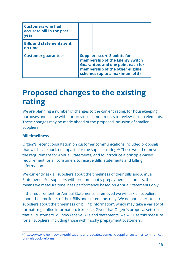| <b>Customers who had</b><br>accurate bill in the past<br><b>vear</b> |                                                                                                                                                                                          |  |  |  |  |
|----------------------------------------------------------------------|------------------------------------------------------------------------------------------------------------------------------------------------------------------------------------------|--|--|--|--|
| <b>Bills and statements sent</b><br>on time                          |                                                                                                                                                                                          |  |  |  |  |
| <b>Customer guarantees</b>                                           | <b>Suppliers score 3 points for</b><br>membership of the Energy Switch<br><b>Guarantee, and one point each for</b><br>membership of the other eligible<br>schemes (up to a maximum of 5) |  |  |  |  |

### **Proposed changes to the existing rating**

We are planning a number of changes to the current rating, for housekeeping purposes and in line with our previous commitments to review certain elements. These changes may be made ahead of the proposed inclusion of smaller suppliers.

#### **Bill timeliness**

Ofgem's recent consultation on customer communications included proposals that will have knock-on impacts for the supplier rating.<sup>20</sup> These would remove the requirement for Annual Statements, and to introduce a principle-based requirement for all consumers to receive Bills, statements and billing information.

We currently ask all suppliers about the timeliness of their Bills and Annual Statements. For suppliers with predominantly prepayment customers, this means we measure timeliness performance based on Annual Statements only.

If the requirement for Annual Statements is removed we will ask all suppliers about the timeliness of their Bills and statements only. We do not expect to ask suppliers about the timeliness of 'billing information', which may take a variety of formats (eg online information, texts etc). Given that Ofgem's proposal sets out that all customers will now receive Bills and statements, we will use this measure for all suppliers, including those with mostly prepayment customers.

<sup>&</sup>lt;sup>20</sup>[https://www.ofgem.gov.uk/publications-and-updates/domestic-supplier-customer-communicati](https://www.ofgem.gov.uk/publications-and-updates/domestic-supplier-customer-communications-rulebook-reforms) [ons-rulebook-reforms](https://www.ofgem.gov.uk/publications-and-updates/domestic-supplier-customer-communications-rulebook-reforms)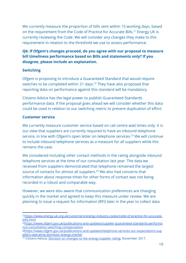We currently measure the proportion of bills sent within 15 working days, based on the requirement from the Code of Practice for Accurate Bills.<sup>21</sup> Energy UK is currently reviewing the Code. We will consider any changes they make to this requirement in relation to the threshold we use to assess performance.

#### **Q6: If Ofgem's changes proceed, do you agree with our proposal to measure bill timeliness performance based on Bills and statements only? If you disagree, please include an explanation.**

#### **Switching**

Ofgem is proposing to introduce a Guaranteed Standard that would require switches to be completed within 21 days.<sup>22</sup> They have also proposed that reporting data on performance against this standard will be mandatory.

Citizens Advice has the legal power to publish Guaranteed Standards performance data. If the proposal goes ahead we will consider whether this data could be used in relation to our switching metric to prevent duplication of effort.

#### **Customer service**

We currently measure customer service based on call centre wait times only. It is our view that suppliers are currently required to have an inbound telephone service, in line with Ofgem's open letter on telephone services.<sup>23</sup> We will continue to include inbound telephone services as a measure for all suppliers while this remains the case.

We considered including other contact methods in the rating alongside inbound telephone services at the time of our consultation last year. The data we received from suppliers demonstrated that telephone remained the largest source of contacts for almost all suppliers.<sup>24</sup> We also had concerns that information about response times for other forms of contact was not being recorded in a robust and comparable way.

However, we were also aware that communication preferences are changing quickly in the market and agreed to keep this measure under review. We are planning to issue a request for information (RFI) later in the year to collect data

<sup>21</sup>[https://www.energy-uk.org.uk/customers/energy-industry-codes/code-of-practice-for-accurate](https://www.energy-uk.org.uk/customers/energy-industry-codes/code-of-practice-for-accurate-bills.html)[bills.html](https://www.energy-uk.org.uk/customers/energy-industry-codes/code-of-practice-for-accurate-bills.html)

<sup>&</sup>lt;sup>22</sup>[https://www.ofgem.gov.uk/publications-and-updates/supplier-guaranteed-standards-performa](https://www.ofgem.gov.uk/publications-and-updates/supplier-guaranteed-standards-performance-consultation-switching-compensation) [nce-consultation-switching-compensation](https://www.ofgem.gov.uk/publications-and-updates/supplier-guaranteed-standards-performance-consultation-switching-compensation)

<sup>23</sup>[https://www.ofgem.gov.uk/publications-and-updates/telephone-services-our-expectations-sup](https://www.ofgem.gov.uk/publications-and-updates/telephone-services-our-expectations-suppliers-operating-domestic-energy-market) [pliers-operating-domestic-energy-market](https://www.ofgem.gov.uk/publications-and-updates/telephone-services-our-expectations-suppliers-operating-domestic-energy-market)

 $24$  Citizens Advice, [Decision](https://www.citizensadvice.org.uk/about-us/policy/policy-research-topics/energy-policy-research-and-consultation-responses/energy-policy-research/decision-on-changes-to-the-energy-supplier-rating/) on changes to the energy supplier rating, November 2017.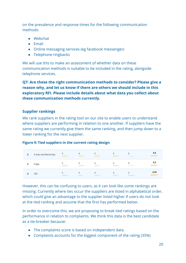on the prevalence and response times for the following communication methods:

- Webchat
- Email
- Online messaging services (eg facebook messenger)
- Telephone ringbacks

We will use this to make an assessment of whether data on these communication methods is suitable to be included in the rating, alongside telephone services.

**Q7: Are these the right communication methods to consider? Please give a reason why, and let us know if there are others we should include in this exploratory RFI. Please include details about what data you collect about these communication methods currently.**

#### **Supplier rankings**

We rank suppliers in the rating tool on our site to enable users to understand where suppliers are performing in relation to one another. If suppliers have the same rating we currently give them the same ranking, and then jump down to a lower ranking for the next supplier.

#### **Figure 9: Tied suppliers in the current rating design**

| 2 | E (Gas and Electricity) | ***** | 4<br>***** | *****                   | 5<br>*****              | 0<br>***** | 4.3<br>*****  |
|---|-------------------------|-------|------------|-------------------------|-------------------------|------------|---------------|
| 2 | Engie                   | ***** | *****      | $\overline{4}$<br>***** | 5<br>*****              | 0<br>***** | 4.3<br>*****  |
| 4 | <b>SSE</b>              | ***** | 3<br>***** | $\overline{4}$<br>***** | $\overline{4}$<br>***** | *****      | 4.25<br>***** |

However, this can be confusing to users, as it can look like some rankings are missing. Currently where ties occur the suppliers are listed in alphabetical order, which could give an advantage to the supplier listed higher if users do not look at the tied ranking and assume that the first has performed better.

In order to overcome this, we are proposing to break tied ratings based on the performance in relation to complaints. We think this data is the best candidate as a tie-breaker because:

- The complaints score is based on independent data
- Complaints accounts for the biggest component of the rating (35%)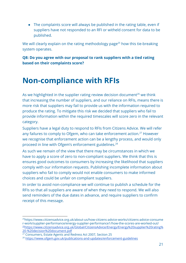• The complaints score will always be published in the rating table, even if suppliers have not responded to an RFI or witheld consent for data to be published.

We will clearly explain on the rating methodology page<sup>25</sup> how this tie-breaking system operates.

**Q8: Do you agree with our proposal to rank suppliers with a tied rating based on their complaints score?**

### **Non-compliance with RFIs**

As we highlighted in the supplier rating review decision document<sup>26</sup> we think that increasing the number of suppliers, and our reliance on RFIs, means there is more risk that suppliers may fail to provide us with the information required to produce the rating. To mitigate this risk we decided that suppliers who fail to provide information within the required timescales will score zero in the relevant category.

Suppliers have a legal duty to respond to RFIs from Citizens Advice. We will refer any failures to comply to Ofgem, who can take enforcement action.<sup>27</sup> However we recognise that enforcement action can be a lengthy process, and would only proceed in line with Ofgem's enforcement guidelines.<sup>28</sup>

As such we remain of the view that there may be circumstances in which we have to apply a score of zero to non-compliant suppliers. We think that this is ensures good outcomes to consumers by increasing the likelihood that suppliers comply with our information requests. Publishing incomplete information about suppliers who fail to comply would not enable consumers to make informed choices and could be unfair on compliant suppliers.

In order to avoid non-compliance we will continue to publish a schedule for the RFIs so that all suppliers are aware of when they need to respond. We will also send reminders of the due dates in advance, and require suppliers to confirm receipt of this message.

<sup>25</sup>https://www.citizensadvice.org.uk/about-us/how-citizens-advice-works/citizens-advice-consume r-work/supplier-performance/energy-supplier-performance1/how-the-scores-are-worked-out/ <sup>26</sup>[https://www.citizensadvice.org.uk/Global/CitizensAdvice/Energy/Energy%20supplier%20rating%](https://www.citizensadvice.org.uk/Global/CitizensAdvice/Energy/Energy%20supplier%20rating%20-%20decision%20document.pdf) [20-%20decision%20document.pdf](https://www.citizensadvice.org.uk/Global/CitizensAdvice/Energy/Energy%20supplier%20rating%20-%20decision%20document.pdf)

 $27$  Consumers, Estate Agents and Redress Act 2007, Section 25

<sup>28</sup> <https://www.ofgem.gov.uk/publications-and-updates/enforcement-guidelines>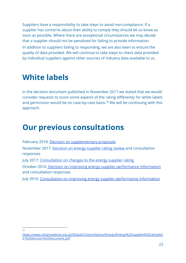Suppliers have a responsibility to take steps to avoid non-compliance. If a supplier has concerns about their ability to comply they should let us know as soon as possible. Where there are exceptional circumstances we may decide that a supplier should not be penalised for failing to provide information. In addition to suppliers failing to responding, we are also keen to ensure the quality of data provided. We will continue to take steps to check data provided by individual suppliers against other sources of industry data available to us.

### **White labels**

In the decision document published in November 2017 we stated that we would consider requests to score some aspects of the rating differently for white labels and permission would be on case-by-case basis. $29$  We will be continuing with this approach.

### **Our previous consultations**

February 2018: [Decision on supplementary proposals](https://www.citizensadvice.org.uk/Global/CitizensAdvice/Energy/Energy%20Consultation%20responses/Energy%20supplier%20rating%20-%20decision%20on%20supplementary%20proposals_v2.pdf) November 2017: [Decision on energy supplier rating review](https://www.citizensadvice.org.uk/about-us/policy/policy-research-topics/energy-policy-research-and-consultation-responses/energy-policy-research/decision-on-changes-to-the-energy-supplier-rating/) and consultation responses July 2017: [Consultation on changes to the energy supplier rating](https://www.citizensadvice.org.uk/about-us/policy/policy-research-topics/energy-policy-research-and-consultation-responses/energy-policy-research/consultation-on-changes-to-the-citizens-advice-energy-supplier-rating/) October 2016: [Decision on improving energy supplier performance information](https://www.citizensadvice.org.uk/about-us/policy/policy-research-topics/energy-policy-research-and-consultation-responses/energy-policy-research/improving-energy-supplier-performance-information-energy-supplier-comparison-tool-consultation-decision-document/) and consultation responses July 2016: [Consultation on improving energy supplier performance information](https://www.citizensadvice.org.uk/about-us/policy/policy-research-topics/energy-policy-research-and-consultation-responses/energy-policy-research/improving-energy-supplier-performance-information-energy-supplier-comparison-tool-consultation/)

 $29$ 

[https://www.citizensadvice.org.uk/Global/CitizensAdvice/Energy/Energy%20supplier%20rating%2](https://www.citizensadvice.org.uk/Global/CitizensAdvice/Energy/Energy%20supplier%20rating%20-%20decision%20document.pdf) [0-%20decision%20document.pdf](https://www.citizensadvice.org.uk/Global/CitizensAdvice/Energy/Energy%20supplier%20rating%20-%20decision%20document.pdf)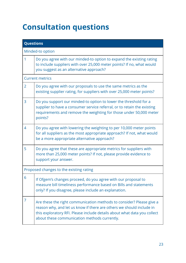# **Consultation questions**

| <b>Questions</b> |                                                                                                                                                                                                                                                                          |  |  |  |  |
|------------------|--------------------------------------------------------------------------------------------------------------------------------------------------------------------------------------------------------------------------------------------------------------------------|--|--|--|--|
| Minded-to option |                                                                                                                                                                                                                                                                          |  |  |  |  |
| 1                | Do you agree with our minded-to option to expand the existing rating<br>to include suppliers with over 25,000 meter points? If no, what would<br>you suggest as an alternative approach?                                                                                 |  |  |  |  |
|                  | <b>Current metrics</b>                                                                                                                                                                                                                                                   |  |  |  |  |
| 2                | Do you agree with our proposals to use the same metrics as the<br>existing supplier rating, for suppliers with over 25,000 meter points?                                                                                                                                 |  |  |  |  |
| 3                | Do you support our minded-to option to lower the threshold for a<br>supplier to have a consumer service referral, or to retain the existing<br>requirements and remove the weighting for those under 50,000 meter<br>points?                                             |  |  |  |  |
| 4                | Do you agree with lowering the weighting to per 10,000 meter points<br>for all suppliers as the most appropriate approach? If not, what would<br>be a more appropriate alternative approach?                                                                             |  |  |  |  |
| 5                | Do you agree that these are appropriate metrics for suppliers with<br>more than 25,000 meter points? If not, please provide evidence to<br>support your answer.                                                                                                          |  |  |  |  |
|                  | Proposed changes to the existing rating                                                                                                                                                                                                                                  |  |  |  |  |
| 6                | If Ofgem's changes proceed, do you agree with our proposal to<br>measure bill timeliness performance based on Bills and statements<br>only? If you disagree, please include an explanation.                                                                              |  |  |  |  |
| 7                | Are these the right communication methods to consider? Please give a<br>reason why, and let us know if there are others we should include in<br>this exploratory RFI. Please include details about what data you collect<br>about these communication methods currently. |  |  |  |  |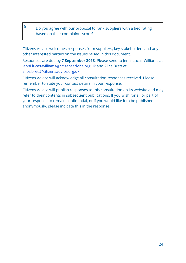| Do you agree with our proposal to rank suppliers with a tied rating |
|---------------------------------------------------------------------|
| based on their complaints score?                                    |

Citizens Advice welcomes responses from suppliers, key stakeholders and any other interested parties on the issues raised in this document.

Responses are due by **7 September 2018**. Please send to Jenni Lucas-Williams at [jenni.lucas-williams@citizensadvice.org.uk](mailto:jenni.lucas-williams@citizensadvice.org.uk) and Alice Brett at [alice.brett@citizensadvice.org.uk](mailto:alice.brett@citizensadvice.org.uk)

Citizens Advice will acknowledge all consultation responses received. Please remember to state your contact details in your response.

Citizens Advice will publish responses to this consultation on its website and may refer to their contents in subsequent publications. If you wish for all or part of your response to remain confidential, or if you would like it to be published anonymously, please indicate this in the response.